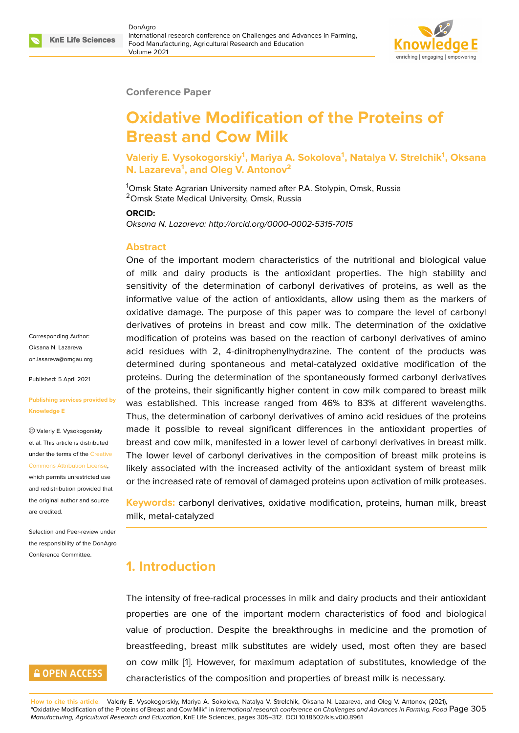

### **Conference Paper**

# **Oxidative Modification of the Proteins of Breast and Cow Milk**

**Valeriy E. Vysokogorskiy<sup>1</sup> , Mariya A. Sokolova<sup>1</sup> , Natalya V. Strelchik<sup>1</sup> , Oksana N. Lazareva<sup>1</sup> , and Oleg V. Antonov<sup>2</sup>**

<sup>1</sup>Omsk State Agrarian University named after P.A. Stolypin, Omsk, Russia <sup>2</sup>Omsk State Medical University, Omsk, Russia

**ORCID:**

*Oksana N. Lazareva: http://orcid.org/0000-0002-5315-7015*

## **Abstract**

One of the important modern characteristics of the nutritional and biological value of milk and dairy products is the antioxidant properties. The high stability and sensitivity of the determination of carbonyl derivatives of proteins, as well as the informative value of the action of antioxidants, allow using them as the markers of oxidative damage. The purpose of this paper was to compare the level of carbonyl derivatives of proteins in breast and cow milk. The determination of the oxidative modification of proteins was based on the reaction of carbonyl derivatives of amino acid residues with 2, 4-dinitrophenylhydrazine. The content of the products was determined during spontaneous and metal-catalyzed oxidative modification of the proteins. During the determination of the spontaneously formed carbonyl derivatives of the proteins, their significantly higher content in cow milk compared to breast milk was established. This increase ranged from 46% to 83% at different wavelengths. Thus, the determination of carbonyl derivatives of amino acid residues of the proteins made it possible to reveal significant differences in the antioxidant properties of breast and cow milk, manifested in a lower level of carbonyl derivatives in breast milk. The lower level of carbonyl derivatives in the composition of breast milk proteins is likely associated with the increased activity of the antioxidant system of breast milk or the increased rate of removal of damaged proteins upon activation of milk proteases.

**Keywords:** carbonyl derivatives, oxidative modification, proteins, human milk, breast milk, metal-catalyzed

# **1. Introduction**

The intensity of free-radical processes in milk and dairy products and their antioxidant properties are one of the important modern characteristics of food and biological value of production. Despite the breakthroughs in medicine and the promotion of breastfeeding, breast milk substitutes are widely used, most often they are based on cow milk [1]. However, for maximum adaptation of substitutes, knowledge of the characteristics of the composition and properties of breast milk is necessary.

Corresponding Author: Oksana N. Lazareva on.lasareva@omgau.org

Published: 5 April 2021

#### **[Publishing services pro](mailto:on.lasareva@omgau.org)vided by Knowledge E**

Valeriy E. Vysokogorskiy et al. This article is distributed under the terms of the Creative Commons Attribution License,

which permits unrestricted use and redistribution provided that the original author and [source](https://creativecommons.org/licenses/by/4.0/) [are credited.](https://creativecommons.org/licenses/by/4.0/)

Selection and Peer-review under the responsibility of the DonAgro Conference Committee.

# **GOPEN ACCESS**

**How to cite this article**: Valeriy E. Vysokogorskiy, Mariya A. Sokolova, Natalya V. Strelchik, Oksana N. Lazareva, and Oleg V. Antonov, (2021), "Oxidative Modification of the Proteins of Breast and C[ow](#page-5-0) Milk" in *International research conference on Challenges and Advances in Farming, Food* Page 305 *Manufacturing, Agricultural Research and Education*, KnE Life Sciences, pages 305–312. DOI 10.18502/kls.v0i0.8961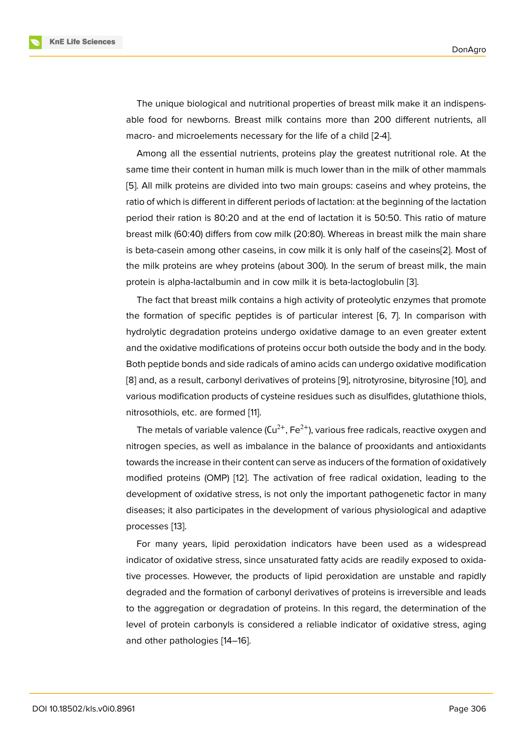The unique biological and nutritional properties of breast milk make it an indispensable food for newborns. Breast milk contains more than 200 different nutrients, all macro- and microelements necessary for the life of a child [2-4].

Among all the essential nutrients, proteins play the greatest nutritional role. At the same time their content in human milk is much lower than in the milk of other mammals [5]. All milk proteins are divided into two main groups: caseins and whey proteins, the ratio of which is different in different periods of lactation: at the beginning of the lactation period their ration is 80:20 and at the end of lactation it is 50:50. This ratio of mature [br](#page-6-0)east milk (60:40) differs from cow milk (20:80). Whereas in breast milk the main share is beta-casein among other caseins, in cow milk it is only half of the caseins[2]. Most of the milk proteins are whey proteins (about 300). In the serum of breast milk, the main protein is alpha-lactalbumin and in cow milk it is beta-lactoglobulin [3].

The fact that breast milk contains a high activity of proteolytic enzymes th[at](#page-5-1) promote the formation of specific peptides is of particular interest [6, 7]. In comparison with hydrolytic degradation proteins undergo oxidative damage to an e[ve](#page-6-1)n greater extent and the oxidative modifications of proteins occur both outside the body and in the body. Both peptide bonds and side radicals of amino acids can und[erg](#page-6-2)[o o](#page-6-3)xidative modification [8] and, as a result, carbonyl derivatives of proteins [9], nitrotyrosine, bityrosine [10], and various modification products of cysteine residues such as disulfides, glutathione thiols, nitrosothiols, etc. are formed [11].

The metals of variable valence  $(Cu^{2+}, Fe^{2+})$ , vario[us](#page-6-4) free radicals, reactive oxy[gen](#page-6-5) and nitrogen species, as well as imbalance in the balance of prooxidants and antioxidants towards the increase in their c[on](#page-6-6)tent can serve as inducers of the formation of oxidatively modified proteins (OMP) [12]. The activation of free radical oxidation, leading to the development of oxidative stress, is not only the important pathogenetic factor in many diseases; it also participates in the development of various physiological and adaptive processes [13].

For many years, lipid peroxidation indicators have been used as a widespread indicator of oxidative stress, since unsaturated fatty acids are readily exposed to oxidative proces[se](#page-6-7)s. However, the products of lipid peroxidation are unstable and rapidly degraded and the formation of carbonyl derivatives of proteins is irreversible and leads to the aggregation or degradation of proteins. In this regard, the determination of the level of protein carbonyls is considered a reliable indicator of oxidative stress, aging and other pathologies [14–16].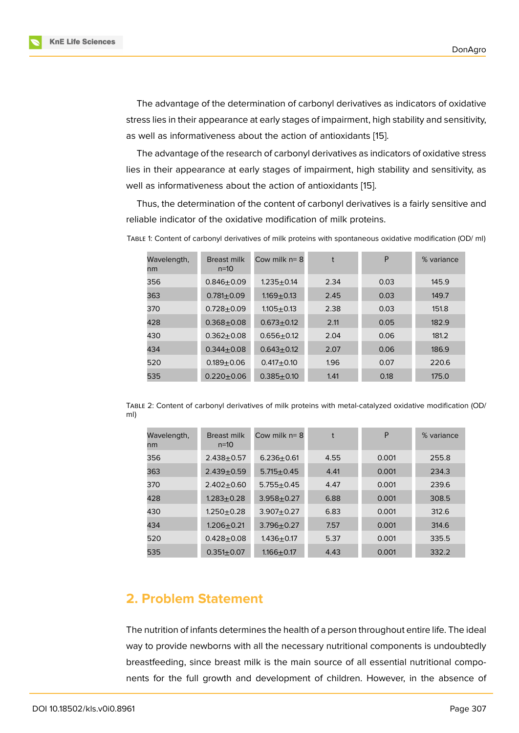The advantage of the determination of carbonyl derivatives as indicators of oxidative stress lies in their appearance at early stages of impairment, high stability and sensitivity, as well as informativeness about the action of antioxidants [15].

The advantage of the research of carbonyl derivatives as indicators of oxidative stress lies in their appearance at early stages of impairment, high stability and sensitivity, as well as informativeness about the action of antioxidants [15][.](#page-6-8)

Thus, the determination of the content of carbonyl derivatives is a fairly sensitive and reliable indicator of the oxidative modification of milk proteins.

| Wavelength,<br>nm | Breast milk<br>$n=10$ | Cow milk $n = 8$ | t    | Ρ    | % variance |
|-------------------|-----------------------|------------------|------|------|------------|
| 356               | $0.846 \pm 0.09$      | $1.235 + 0.14$   | 2.34 | 0.03 | 145.9      |
| 363               | $0.781 \pm 0.09$      | $1.169 + 0.13$   | 2.45 | 0.03 | 149.7      |
| 370               | $0.728 + 0.09$        | $1.105 + 0.13$   | 2.38 | 0.03 | 151.8      |
| 428               | $0.368 + 0.08$        | $0.673 + 0.12$   | 2.11 | 0.05 | 182.9      |
| 430               | $0.362 + 0.08$        | $0.656 + 0.12$   | 2.04 | 0.06 | 181.2      |
| 434               | $0.344 + 0.08$        | $0.643 + 0.12$   | 2.07 | 0.06 | 186.9      |
| 520               | $0.189 + 0.06$        | $0.417 + 0.10$   | 1.96 | 0.07 | 220.6      |
| 535               | $0.220 + 0.06$        | $0.385 + 0.10$   | 1.41 | 0.18 | 175.0      |

TABLE 1: Content of carbonyl derivatives of milk proteins with spontaneous oxidative modification (OD/ ml)

TABLE 2: Content of carbonyl derivatives of milk proteins with metal-catalyzed oxidative modification (OD/ ml)

| Wavelength,<br>nm | Breast milk<br>$n=10$ | Cow milk $n = 8$ | t    | P     | % variance |
|-------------------|-----------------------|------------------|------|-------|------------|
| 356               | $2.438 + 0.57$        | $6.236 + 0.61$   | 4.55 | 0.001 | 255.8      |
| 363               | $2.439 + 0.59$        | $5.715 \pm 0.45$ | 4.41 | 0.001 | 234.3      |
| 370               | $2.402 + 0.60$        | $5.755 + 0.45$   | 4.47 | 0.001 | 239.6      |
| 428               | $1.283 + 0.28$        | $3.958 + 0.27$   | 6.88 | 0.001 | 308.5      |
| 430               | $1.250 + 0.28$        | $3.907 + 0.27$   | 6.83 | 0.001 | 312.6      |
| 434               | $1.206 + 0.21$        | $3.796 + 0.27$   | 7.57 | 0.001 | 314.6      |
| 520               | $0.428 + 0.08$        | $1.436 + 0.17$   | 5.37 | 0.001 | 335.5      |
| 535               | $0.351 + 0.07$        | $1.166 + 0.17$   | 4.43 | 0.001 | 332.2      |

## **2. Problem Statement**

The nutrition of infants determines the health of a person throughout entire life. The ideal way to provide newborns with all the necessary nutritional components is undoubtedly breastfeeding, since breast milk is the main source of all essential nutritional components for the full growth and development of children. However, in the absence of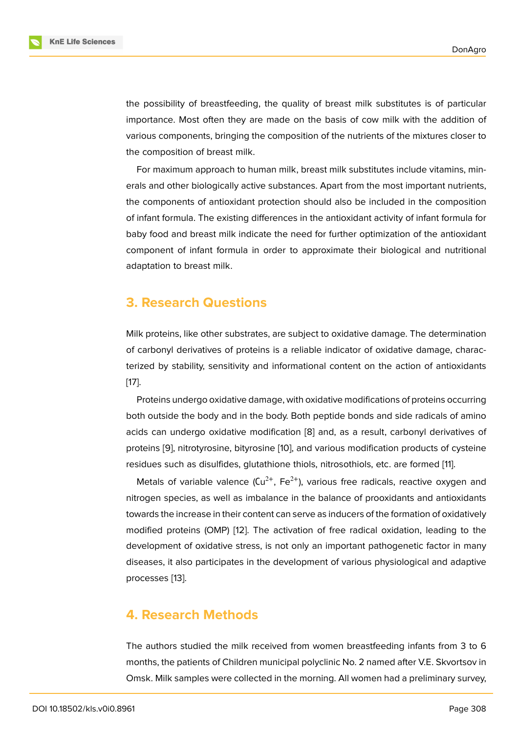the possibility of breastfeeding, the quality of breast milk substitutes is of particular importance. Most often they are made on the basis of cow milk with the addition of various components, bringing the composition of the nutrients of the mixtures closer to the composition of breast milk.

For maximum approach to human milk, breast milk substitutes include vitamins, minerals and other biologically active substances. Apart from the most important nutrients, the components of antioxidant protection should also be included in the composition of infant formula. The existing differences in the antioxidant activity of infant formula for baby food and breast milk indicate the need for further optimization of the antioxidant component of infant formula in order to approximate their biological and nutritional adaptation to breast milk.

# **3. Research Questions**

Milk proteins, like other substrates, are subject to oxidative damage. The determination of carbonyl derivatives of proteins is a reliable indicator of oxidative damage, characterized by stability, sensitivity and informational content on the action of antioxidants [17].

Proteins undergo oxidative damage, with oxidative modifications of proteins occurring both outside the body and in the body. Both peptide bonds and side radicals of amino [aci](#page-7-0)ds can undergo oxidative modification [8] and, as a result, carbonyl derivatives of proteins [9], nitrotyrosine, bityrosine [10], and various modification products of cysteine residues such as disulfides, glutathione thiols, nitrosothiols, etc. are formed [11].

Metals of [va](#page-6-9)riable valence  $(Cu^{2+}, Fe^{2+})$ , various free radicals, reactive oxygen and nitrogen [sp](#page-6-4)ecies, as well as imbalan[ce](#page-6-5) in the balance of prooxidants and antioxidants towards the increase in their content can serve as inducers of the formation of [ox](#page-6-6)idatively modified proteins (OMP) [12]. The activation of free radical oxidation, leading to the development of oxidative stress, is not only an important pathogenetic factor in many diseases, it also participates in the development of various physiological and adaptive processes [13].

# **4. Rese[ar](#page-6-7)ch Methods**

The authors studied the milk received from women breastfeeding infants from 3 to 6 months, the patients of Children municipal polyclinic No. 2 named after V.E. Skvortsov in Omsk. Milk samples were collected in the morning. All women had a preliminary survey,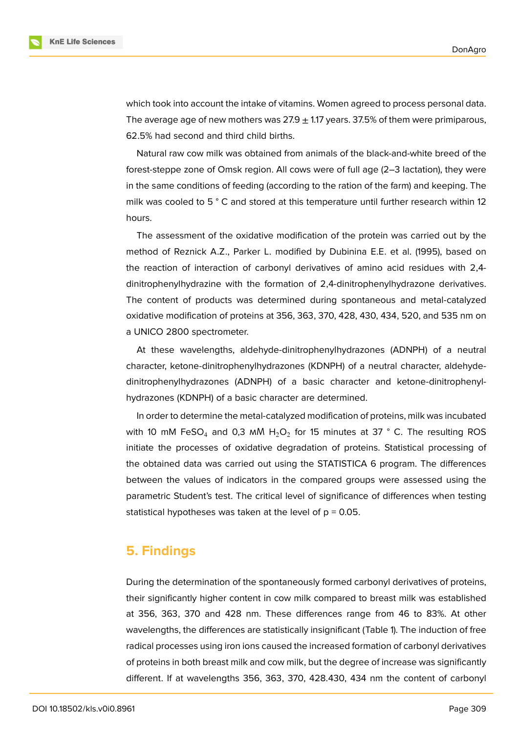

which took into account the intake of vitamins. Women agreed to process personal data. The average age of new mothers was 27.9  $+$  1.17 years. 37.5% of them were primiparous, 62.5% had second and third child births.

Natural raw cow milk was obtained from animals of the black-and-white breed of the forest-steppe zone of Omsk region. All cows were of full age (2–3 lactation), they were in the same conditions of feeding (according to the ration of the farm) and keeping. The milk was cooled to 5 ° C and stored at this temperature until further research within 12 hours.

The assessment of the oxidative modification of the protein was carried out by the method of Reznick A.Z., Parker L. modified by Dubinina E.E. et al. (1995), based on the reaction of interaction of carbonyl derivatives of amino acid residues with 2,4 dinitrophenylhydrazine with the formation of 2,4-dinitrophenylhydrazone derivatives. The content of products was determined during spontaneous and metal-catalyzed oxidative modification of proteins at 356, 363, 370, 428, 430, 434, 520, and 535 nm on a UNICO 2800 spectrometer.

At these wavelengths, aldehyde-dinitrophenylhydrazones (ADNPH) of a neutral character, ketone-dinitrophenylhydrazones (KDNPH) of a neutral character, aldehydedinitrophenylhydrazones (ADNPH) of a basic character and ketone-dinitrophenylhydrazones (KDNPH) of a basic character are determined.

In order to determine the metal-catalyzed modification of proteins, milk was incubated with 10 mM FeSO<sub>4</sub> and 0,3 mM H<sub>2</sub>O<sub>2</sub> for 15 minutes at 37 ° C. The resulting ROS initiate the processes of oxidative degradation of proteins. Statistical processing of the obtained data was carried out using the STATISTICA 6 program. The differences between the values of indicators in the compared groups were assessed using the parametric Student's test. The critical level of significance of differences when testing statistical hypotheses was taken at the level of  $p = 0.05$ .

# **5. Findings**

During the determination of the spontaneously formed carbonyl derivatives of proteins, their significantly higher content in cow milk compared to breast milk was established at 356, 363, 370 and 428 nm. These differences range from 46 to 83%. At other wavelengths, the differences are statistically insignificant (Table 1). The induction of free radical processes using iron ions caused the increased formation of carbonyl derivatives of proteins in both breast milk and cow milk, but the degree of increase was significantly different. If at wavelengths 356, 363, 370, 428.430, 434 nm the content of carbonyl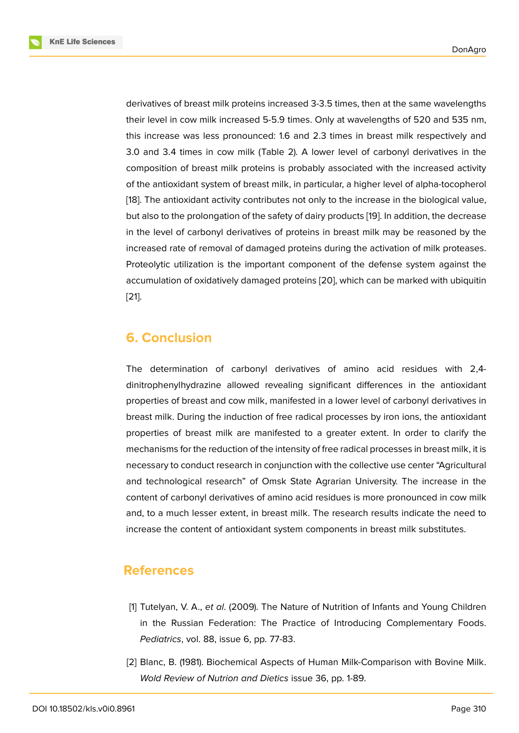derivatives of breast milk proteins increased 3-3.5 times, then at the same wavelengths their level in cow milk increased 5-5.9 times. Only at wavelengths of 520 and 535 nm, this increase was less pronounced: 1.6 and 2.3 times in breast milk respectively and 3.0 and 3.4 times in cow milk (Table 2). A lower level of carbonyl derivatives in the composition of breast milk proteins is probably associated with the increased activity of the antioxidant system of breast milk, in particular, a higher level of alpha-tocopherol [18]. The antioxidant activity contributes not only to the increase in the biological value, but also to the prolongation of the safety of dairy products [19]. In addition, the decrease in the level of carbonyl derivatives of proteins in breast milk may be reasoned by the i[nc](#page-7-1)reased rate of removal of damaged proteins during the activation of milk proteases. Proteolytic utilization is the important component of the [de](#page-7-2)fense system against the accumulation of oxidatively damaged proteins [20], which can be marked with ubiquitin [21].

# **[6.](#page-7-3) Conclusion**

The determination of carbonyl derivatives of amino acid residues with 2,4 dinitrophenylhydrazine allowed revealing significant differences in the antioxidant properties of breast and cow milk, manifested in a lower level of carbonyl derivatives in breast milk. During the induction of free radical processes by iron ions, the antioxidant properties of breast milk are manifested to a greater extent. In order to clarify the mechanisms for the reduction of the intensity of free radical processes in breast milk, it is necessary to conduct research in conjunction with the collective use center "Agricultural and technological research" of Omsk State Agrarian University. The increase in the content of carbonyl derivatives of amino acid residues is more pronounced in cow milk and, to a much lesser extent, in breast milk. The research results indicate the need to increase the content of antioxidant system components in breast milk substitutes.

# **References**

- [1] Tutelyan, V. A., *et al*. (2009). The Nature of Nutrition of Infants and Young Children in the Russian Federation: The Practice of Introducing Complementary Foods. *Pediatrics*, vol. 88, issue 6, pp. 77-83.
- <span id="page-5-1"></span><span id="page-5-0"></span>[2] Blanc, B. (1981). Biochemical Aspects of Human Milk-Comparison with Bovine Milk. *Wold Review of Nutrion and Dietics* issue 36, pp. 1-89.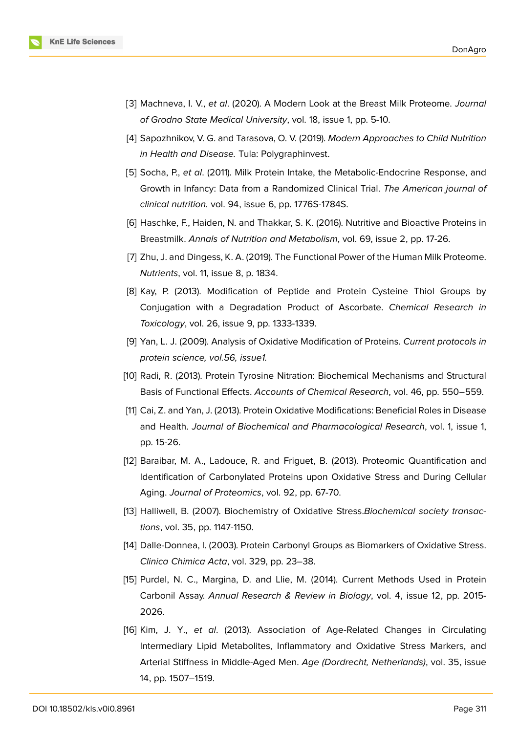

- <span id="page-6-1"></span>[3] Machneva, I. V., *et al*. (2020). A Modern Look at the Breast Milk Proteome. *Journal of Grodno State Medical University*, vol. 18, issue 1, pp. 5-10.
- [4] Sapozhnikov, V. G. and Tarasova, O. V. (2019). *Modern Approaches to Child Nutrition in Health and Disease.* Tula: Polygraphinvest.
- <span id="page-6-0"></span>[5] Socha, P., *et al*. (2011). Milk Protein Intake, the Metabolic-Endocrine Response, and Growth in Infancy: Data from a Randomized Clinical Trial. *The American journal of clinical nutrition.* vol. 94, issue 6, pp. 1776S-1784S.
- <span id="page-6-2"></span>[6] Haschke, F., Haiden, N. and Thakkar, S. K. (2016). Nutritive and Bioactive Proteins in Breastmilk. *Annals of Nutrition and Metabolism*, vol. 69, issue 2, pp. 17-26.
- <span id="page-6-3"></span>[7] Zhu, J. and Dingess, K. A. (2019). The Functional Power of the Human Milk Proteome. *Nutrients*, vol. 11, issue 8, p. 1834.
- <span id="page-6-9"></span>[8] Kay, P. (2013). Modification of Peptide and Protein Cysteine Thiol Groups by Conjugation with a Degradation Product of Ascorbate. *Chemical Research in Toxicology*, vol. 26, issue 9, pp. 1333-1339.
- <span id="page-6-4"></span>[9] Yan, L. J. (2009). Analysis of Oxidative Modification of Proteins. *Current protocols in protein science, vol.56, issue1.*
- <span id="page-6-5"></span>[10] Radi, R. (2013). Protein Tyrosine Nitration: Biochemical Mechanisms and Structural Basis of Functional Effects. *Accounts of Chemical Research*, vol. 46, pp. 550–559.
- <span id="page-6-6"></span>[11] Cai, Z. and Yan, J. (2013). Protein Oxidative Modifications: Beneficial Roles in Disease and Health. *Journal of Biochemical and Pharmacological Research*, vol. 1, issue 1, pp. 15-26.
- [12] Baraibar, M. A., Ladouce, R. and Friguet, B. (2013). Proteomic Quantification and Identification of Carbonylated Proteins upon Oxidative Stress and During Cellular Aging. *Journal of Proteomics*, vol. 92, pp. 67-70.
- <span id="page-6-7"></span>[13] Halliwell, B. (2007). Biochemistry of Oxidative Stress.*Biochemical society transactions*, vol. 35, pp. 1147-1150.
- [14] Dalle-Donnea, I. (2003). Protein Carbonyl Groups as Biomarkers of Oxidative Stress. *Clinica Chimica Acta*, vol. 329, pp. 23–38.
- <span id="page-6-8"></span>[15] Purdel, N. C., Margina, D. and Llie, M. (2014). Current Methods Used in Protein Carbonil Assay. *Annual Research & Review in Biology*, vol. 4, issue 12, pp. 2015- 2026.
- [16] Kim, J. Y., *et al*. (2013). Association of Age-Related Changes in Circulating Intermediary Lipid Metabolites, Inflammatory and Oxidative Stress Markers, and Arterial Stiffness in Middle-Aged Men. *Age (Dordrecht, Netherlands)*, vol. 35, issue 14, pp. 1507–1519.